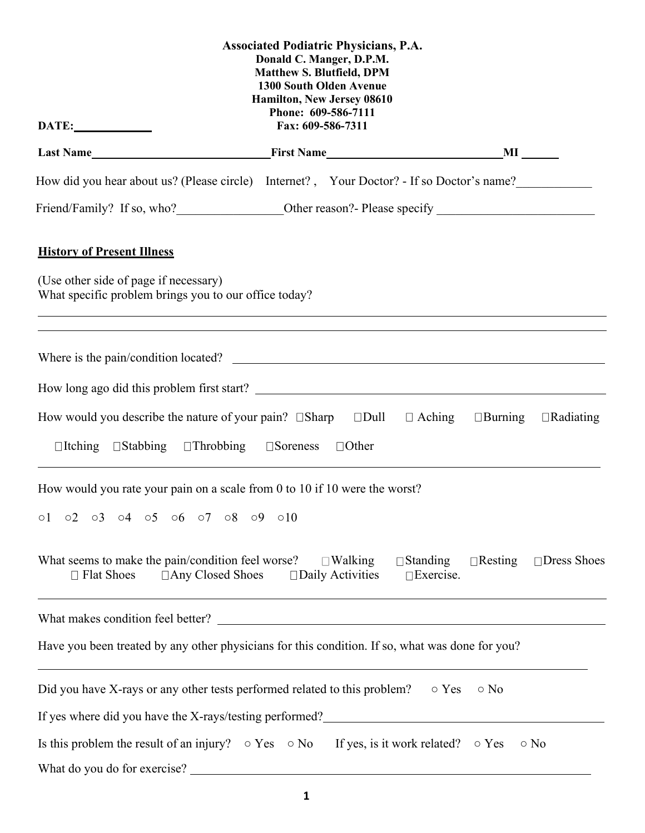|                                                                                                                                                                                                                                                   | <b>Associated Podiatric Physicians, P.A.</b><br>Donald C. Manger, D.P.M.<br><b>Matthew S. Blutfield, DPM</b><br><b>1300 South Olden Avenue</b><br>Hamilton, New Jersey 08610<br>Phone: 609-586-7111 |                                     |                |                                   |
|---------------------------------------------------------------------------------------------------------------------------------------------------------------------------------------------------------------------------------------------------|-----------------------------------------------------------------------------------------------------------------------------------------------------------------------------------------------------|-------------------------------------|----------------|-----------------------------------|
| DATE:                                                                                                                                                                                                                                             | Fax: 609-586-7311                                                                                                                                                                                   |                                     |                |                                   |
|                                                                                                                                                                                                                                                   |                                                                                                                                                                                                     |                                     |                |                                   |
| How did you hear about us? (Please circle) Internet?, Your Doctor? - If so Doctor's name?                                                                                                                                                         |                                                                                                                                                                                                     |                                     |                |                                   |
|                                                                                                                                                                                                                                                   |                                                                                                                                                                                                     |                                     |                |                                   |
| <b>History of Present Illness</b>                                                                                                                                                                                                                 |                                                                                                                                                                                                     |                                     |                |                                   |
| (Use other side of page if necessary)<br>What specific problem brings you to our office today?<br>,我们也不能在这里的时候,我们也不能在这里的时候,我们也不能会不能会不能会不能会不能会不能会不能会不能会不能会不能会。<br>第2012章 我们的时候,我们的时候,我们的时候,我们的时候,我们的时候,我们的时候,我们的时候,我们的时候,我们的时候,我们的时候,我们的时候,我们的时候,我 |                                                                                                                                                                                                     |                                     |                |                                   |
|                                                                                                                                                                                                                                                   |                                                                                                                                                                                                     |                                     |                |                                   |
|                                                                                                                                                                                                                                                   |                                                                                                                                                                                                     |                                     |                |                                   |
| How would you describe the nature of your pain? $\square$ Sharp $\square$ Dull $\square$ Aching<br>$\Box$ Itching $\Box$ Stabbing $\Box$ Throbbing $\Box$ Soreness                                                                                | $\Box$ Other                                                                                                                                                                                        |                                     | $\Box$ Burning | $\Box$ Radiating                  |
| How would you rate your pain on a scale from 0 to 10 if 10 were the worst?<br>$0.2$ $0.3$ $0.4$ $0.5$ $0.6$ $0.7$ $0.8$ $0.9$ $0.10$<br>$\circ 1$                                                                                                 |                                                                                                                                                                                                     |                                     |                |                                   |
| What seems to make the pain/condition feel worse? $\square$ Walking<br>$\Box$ Any Closed Shoes<br>$\Box$ Flat Shoes                                                                                                                               | $\square$ Daily Activities                                                                                                                                                                          | $\Box$ Standing<br>$\Box$ Exercise. |                | $\Box$ Resting $\Box$ Dress Shoes |
|                                                                                                                                                                                                                                                   |                                                                                                                                                                                                     |                                     |                |                                   |
| Have you been treated by any other physicians for this condition. If so, what was done for you?                                                                                                                                                   |                                                                                                                                                                                                     |                                     |                |                                   |
| Did you have X-rays or any other tests performed related to this problem?                                                                                                                                                                         |                                                                                                                                                                                                     | $\circ$ Yes                         | $\circ$ No     |                                   |
| If yes where did you have the X-rays/testing performed?                                                                                                                                                                                           |                                                                                                                                                                                                     |                                     |                |                                   |
| Is this problem the result of an injury? $\circ$ Yes $\circ$ No If yes, is it work related? $\circ$ Yes                                                                                                                                           |                                                                                                                                                                                                     |                                     |                | $\circ$ No                        |
| What do you do for exercise?                                                                                                                                                                                                                      |                                                                                                                                                                                                     |                                     |                |                                   |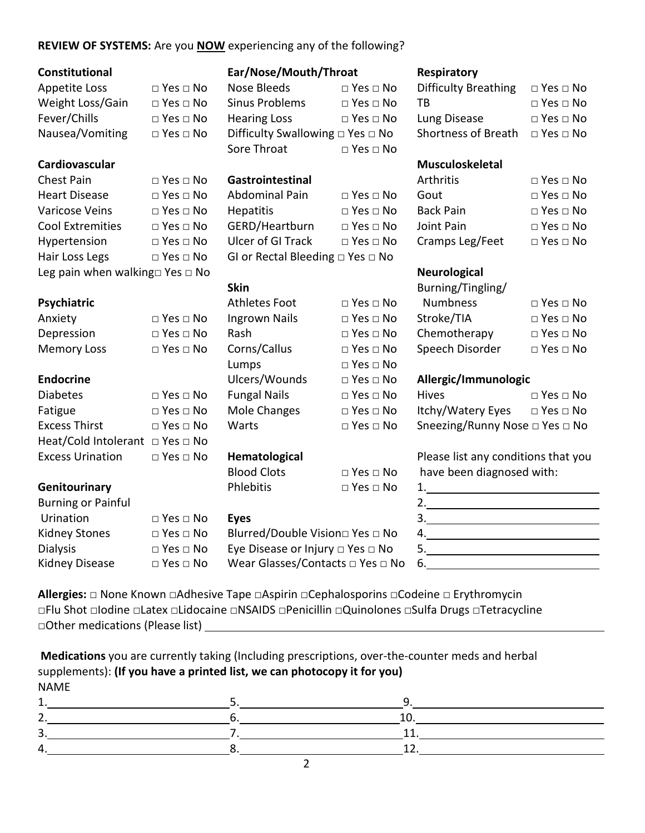### **REVIEW OF SYSTEMS:** Are you **NOW** experiencing any of the following?

| Constitutional |
|----------------|
|----------------|

| <b>Appetite Loss</b> | □ Yes |
|----------------------|-------|
| Weight Loss/Gain     | □ Yes |
| Fever/Chills         | □ Yes |
| Nausea/Vomiting      | □ Yes |

| Chest Pain                                 | $\Box$ Yes $\Box$ No | Gastrointestinal                           |                      | Arthritis           |
|--------------------------------------------|----------------------|--------------------------------------------|----------------------|---------------------|
| <b>Heart Disease</b>                       | $\Box$ Yes $\Box$ No | Abdominal Pain                             | $\Box$ Yes $\Box$ No | Gout                |
| Varicose Veins                             | $\Box$ Yes $\Box$ No | <b>Hepatitis</b>                           | $\Box$ Yes $\Box$ No | <b>Back Pain</b>    |
| <b>Cool Extremities</b>                    | $\Box$ Yes $\Box$ No | GERD/Heartburn                             | $\Box$ Yes $\Box$ No | Joint Pain          |
| Hypertension                               | $\Box$ Yes $\Box$ No | <b>Ulcer of GI Track</b>                   | $\Box$ Yes $\Box$ No | Cramps Leg/F        |
| Hair Loss Legs                             | $\Box$ Yes $\Box$ No | GI or Rectal Bleeding $\Box$ Yes $\Box$ No |                      |                     |
| Leg pain when walking $\Box$ Yes $\Box$ No |                      |                                            |                      | <b>Neurological</b> |

Heat/Cold Intolerant  $□$  Yes  $□$  No

**Burning or Painful** 

### **Constitutional Ear/Nose/Mouth/Throat Respiratory**

| Cardiovascular   |                      |                                            |                      | Musculoskeletal             |                            |
|------------------|----------------------|--------------------------------------------|----------------------|-----------------------------|----------------------------|
|                  |                      | Sore Throat                                | $\Box$ Yes $\Box$ No |                             |                            |
| Nausea/Vomiting  | $\Box$ Yes $\Box$ No | Difficulty Swallowing $\Box$ Yes $\Box$ No |                      | Shortness of Breath         | $\Box$ Yes $\Box$ No       |
| Fever/Chills     | $\Box$ Yes $\Box$ No | <b>Hearing Loss</b>                        | $\Box$ Yes $\Box$ No | Lung Disease                | $\Box$ Yes $\Box$ No       |
| Weight Loss/Gain | $\Box$ Yes $\Box$ No | Sinus Problems                             | $\Box$ Yes $\Box$ No | ТB                          | $\Box$ Yes $\Box$ No       |
| Appetite Loss    | $\Box$ Yes $\Box$ No | Nose Bleeds                                | $\Box$ Yes $\Box$ No | <b>Difficulty Breathing</b> | $\square$ Yes $\square$ No |

| <b>Abdominal Pain</b>                      | $\Box$ Yes $\Box$ No |
|--------------------------------------------|----------------------|
| <b>Hepatitis</b>                           | $\Box$ Yes $\Box$ No |
| GERD/Heartburn                             | $\Box$ Yes $\Box$ No |
| <b>Ulcer of GI Track</b>                   | $\Box$ Yes $\Box$ No |
| GI or Rectal Bleeding $\Box$ Yes $\Box$ No |                      |

**Psychiatric Definition Athletes Foot** □ Yes □ No Anxiety □ Yes □ No Ingrown Nails □ Yes □ No Memory Loss □ Yes □ No Corns/Callus □ Yes □ No Lumps □ Yes □ No **Endocrine** Ulcers/Wounds □ Yes □ No **Allergic/Immunologic** Diabetes □ Yes □ No Fungal Nails □ Yes □ No Fatigue □ Yes □ No Mole Changes □ Yes □ No **Genitourinary Phlebitis** DYes □ No

## Urination □ Yes □ No **Eyes** Kidney Stones □ Yes □ No Blurred/Double Vision□ Yes □ No Dialysis □ Dialysis □ Yes □ No Eye Disease or Injury □ Yes □ No Kidney Disease □ Yes □ No Wear Glasses/Contacts □ Yes □ No

| <b>Difficulty Breathing</b> | $\square$ Yes $\square$ No |
|-----------------------------|----------------------------|
| TR.                         | $\Box$ Yes $\Box$ No       |
| Lung Disease                | $\sqcap$ Yes $\sqcap$ No   |
| <b>Shortness of Breath</b>  | $\sqcap$ Yes $\sqcap$ No   |

| Chest Pain       | $\Box$ Yes $\Box$ No | Gastrointestinal      |                      | Arthritis       | $\Box$ Yes $\Box$ No |
|------------------|----------------------|-----------------------|----------------------|-----------------|----------------------|
| Heart Disease    | $\Box$ Yes $\Box$ No | <b>Abdominal Pain</b> | $\Box$ Yes $\Box$ No | Gout            | $\Box$ Yes $\Box$ No |
| Varicose Veins   | $\Box$ Yes $\Box$ No | <b>Hepatitis</b>      | $\Box$ Yes $\Box$ No | Back Pain       | $\Box$ Yes $\Box$ No |
| Cool Extremities | $\Box$ Yes $\Box$ No | GERD/Heartburn        | $\Box$ Yes $\Box$ No | Joint Pain      | $\Box$ Yes $\Box$ No |
| Hypertension     | $\Box$ Yes $\Box$ No | Ulcer of GI Track     | $\Box$ Yes $\Box$ No | Cramps Leg/Feet | $\Box$ Yes $\Box$ No |

|                      | <b>Skin</b>   |                      | Burning/Tingling/ |                      |
|----------------------|---------------|----------------------|-------------------|----------------------|
|                      | Athletes Foot | $\Box$ Yes $\Box$ No | <b>Numbness</b>   | $\Box$ Yes $\Box$ No |
| $\Box$ Yes $\Box$ No | Ingrown Nails | $\Box$ Yes $\Box$ No | Stroke/TIA        | $\Box$ Yes $\Box$ No |
| $\Box$ Yes $\Box$ No | Rash          | $\Box$ Yes $\Box$ No | Chemotherapy      | $\Box$ Yes $\Box$ No |
| $\Box$ Yes $\Box$ No | Corns/Callus  | $\Box$ Yes $\Box$ No | Speech Disorder   | $\Box$ Yes $\Box$ No |
|                      |               |                      |                   |                      |

| <b>Diabetes</b> | $\Box$ Yes $\Box$ No | <b>Fungal Nails</b> | $\Box$ Yes $\Box$ No | <b>Hives</b>                   | $\Box$ Yes $\Box$ No |
|-----------------|----------------------|---------------------|----------------------|--------------------------------|----------------------|
| Fatigue         | $\Box$ Yes $\Box$ No | Mole Changes        | $\Box$ Yes $\Box$ No | Itchy/Watery Eyes □ Yes □ No   |                      |
| Excess Thirst   | $\Box$ Yes $\Box$ No | Warts               | $\Box$ Yes $\Box$ No | Sneezing/Runny Nose □ Yes □ No |                      |

Excess Urination □ Yes □ No **Hematological** Please list any conditions that you Blood Clots  $\Box$  Yes  $\Box$  No have been diagnosed with:

**Allergies:** □ None Known □Adhesive Tape □Aspirin □Cephalosporins □Codeine □ Erythromycin □Flu Shot □Iodine □Latex □Lidocaine □NSAIDS □Penicillin □Quinolones □Sulfa Drugs □Tetracycline □Other medications (Please list)

**Medications** you are currently taking (Including prescriptions, over-the-counter meds and herbal supplements): **(If you have a printed list, we can photocopy it for you)** NAME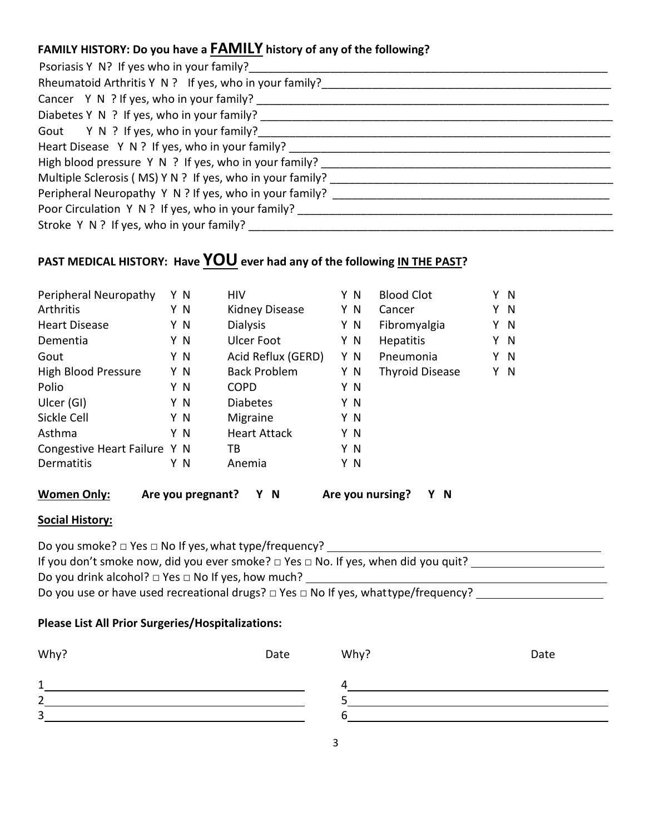# **FAMILY HISTORY: Do you have a FAMILY history of any of the following?**

| Psoriasis Y N? If yes who in your family?                                        |
|----------------------------------------------------------------------------------|
| Rheumatoid Arthritis Y N ? If yes, who in your family?                           |
| Cancer Y N ? If yes, who in your family?                                         |
| Diabetes Y N ? If yes, who in your family?                                       |
| Gout Y N ? If yes, who in your family?                                           |
| Heart Disease Y N ? If yes, who in your family?                                  |
| High blood pressure Y N ? If yes, who in your family? __________________________ |
| Multiple Sclerosis (MS) Y N ? If yes, who in your family?                        |
| Peripheral Neuropathy Y N ? If yes, who in your family?                          |
| Poor Circulation Y N ? If yes, who in your family?                               |
|                                                                                  |

# PAST MEDICAL HISTORY: Have **YOU** ever had any of the following IN THE PAST?

| Peripheral Neuropathy                                                           |  | Y N | <b>HIV</b>          | Y N | <b>Blood Clot</b>      | Y N |     |
|---------------------------------------------------------------------------------|--|-----|---------------------|-----|------------------------|-----|-----|
| Arthritis                                                                       |  | Y N | Kidney Disease      | Y N | Cancer                 | Y N |     |
| <b>Heart Disease</b>                                                            |  | Y N | <b>Dialysis</b>     | Y N | Fibromyalgia           | Y N |     |
| Dementia                                                                        |  | Y N | Ulcer Foot          | Y N | <b>Hepatitis</b>       | Y N |     |
| Gout                                                                            |  | Y N | Acid Reflux (GERD)  | Y N | Pneumonia              | Y N |     |
| High Blood Pressure                                                             |  | Y N | <b>Back Problem</b> | Y N | <b>Thyroid Disease</b> | Y   | - N |
| Polio                                                                           |  | Y N | <b>COPD</b>         | Y N |                        |     |     |
| Ulcer (GI)                                                                      |  | Y N | <b>Diabetes</b>     | Y N |                        |     |     |
| Sickle Cell                                                                     |  | ΥN  | Migraine            | Y N |                        |     |     |
| Asthma                                                                          |  | Y N | <b>Heart Attack</b> | Y N |                        |     |     |
| Congestive Heart Failure Y N                                                    |  |     | ТB                  | Y N |                        |     |     |
| Dermatitis                                                                      |  | ΥN  | Anemia              | Y N |                        |     |     |
| <b>Women Only:</b><br>N<br>Are you nursing?<br>γ<br>N<br>Are you pregnant?<br>Y |  |     |                     |     |                        |     |     |

### **Social History:**

| Do you smoke? $\Box$ Yes $\Box$ No If yes, what type/frequency?                               |  |
|-----------------------------------------------------------------------------------------------|--|
| If you don't smoke now, did you ever smoke? $\Box$ Yes $\Box$ No. If yes, when did you quit?  |  |
| Do you drink alcohol? $\Box$ Yes $\Box$ No If yes, how much?                                  |  |
| Do you use or have used recreational drugs? $\Box$ Yes $\Box$ No If yes, what type/frequency? |  |

### **Please List All Prior Surgeries/Hospitalizations:**

| Why?           | Date | Why? | Date |
|----------------|------|------|------|
| 1              |      | 4    |      |
| $\overline{2}$ |      |      |      |
| 3              |      | n    |      |
|                |      |      |      |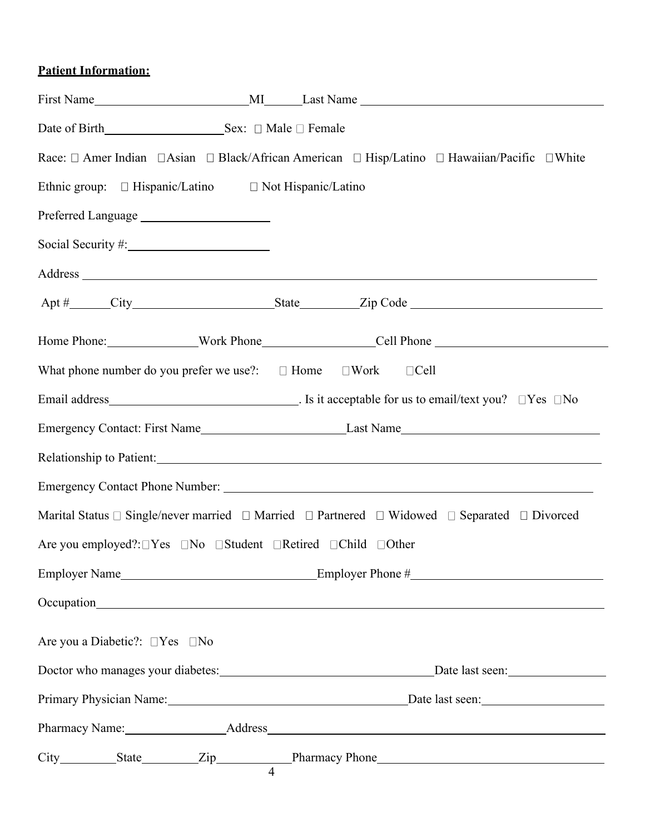### **Patient Information:**

|                                                                                       | Race: □ Amer Indian □ Asian □ Black/African American □ Hisp/Latino □ Hawaiian/Pacific □ White                                                |
|---------------------------------------------------------------------------------------|----------------------------------------------------------------------------------------------------------------------------------------------|
| Ethnic group: □ Hispanic/Latino □ Not Hispanic/Latino                                 |                                                                                                                                              |
|                                                                                       |                                                                                                                                              |
| Social Security #: 1997                                                               |                                                                                                                                              |
|                                                                                       |                                                                                                                                              |
|                                                                                       |                                                                                                                                              |
|                                                                                       |                                                                                                                                              |
| What phone number do you prefer we use?: $\square$ Home $\square$ Work $\square$ Cell |                                                                                                                                              |
|                                                                                       |                                                                                                                                              |
|                                                                                       |                                                                                                                                              |
|                                                                                       |                                                                                                                                              |
|                                                                                       |                                                                                                                                              |
|                                                                                       | Marital Status $\square$ Single/never married $\square$ Married $\square$ Partnered $\square$ Widowed $\square$ Separated $\square$ Divorced |
| Are you employed?: □Yes □No □Student □Retired □Child □Other                           |                                                                                                                                              |
|                                                                                       |                                                                                                                                              |
|                                                                                       |                                                                                                                                              |
| Are you a Diabetic?: □Yes □No                                                         |                                                                                                                                              |
|                                                                                       | Doctor who manages your diabetes: Doctor who manages your diabetes: Date last seen:                                                          |
|                                                                                       | Primary Physician Name: Date last seen: Date last seen:                                                                                      |
|                                                                                       |                                                                                                                                              |
|                                                                                       |                                                                                                                                              |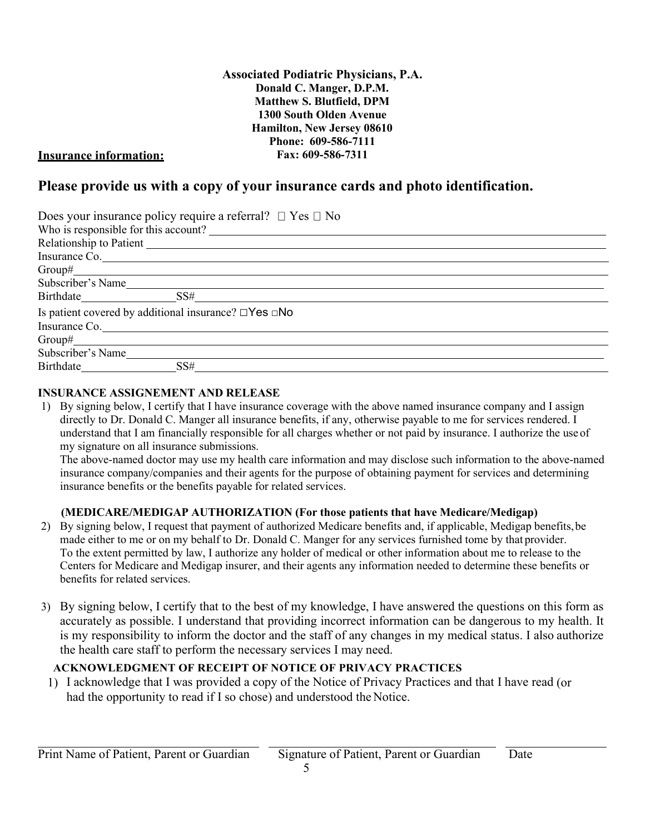**Associated Podiatric Physicians, P.A. Donald C. Manger, D.P.M. Matthew S. Blutfield, DPM 1300 South Olden Avenue Hamilton, New Jersey 08610 Phone: 609-586-7111 Fax: 609-586-7311**

#### **Insurance information:**

### **Please provide us with a copy of your insurance cards and photo identification.**

| Does your insurance policy require a referral? $\Box$ Yes $\Box$ No    |
|------------------------------------------------------------------------|
| Who is responsible for this account?                                   |
|                                                                        |
| Insurance Co.                                                          |
|                                                                        |
| Subscriber's Name                                                      |
| Birthdate SS#                                                          |
| Is patient covered by additional insurance? $\square$ Yes $\square$ No |
| Insurance Co.                                                          |
| $Group#_$                                                              |
| Subscriber's Name                                                      |
| Birthdate SS#                                                          |

#### **INSURANCE ASSIGNEMENT AND RELEASE**

1) By signing below, I certify that I have insurance coverage with the above named insurance company and I assign directly to Dr. Donald C. Manger all insurance benefits, if any, otherwise payable to me for services rendered. I understand that I am financially responsible for all charges whether or not paid by insurance. I authorize the use of my signature on all insurance submissions.

The above-named doctor may use my health care information and may disclose such information to the above-named insurance company/companies and their agents for the purpose of obtaining payment for services and determining insurance benefits or the benefits payable for related services.

#### **(MEDICARE/MEDIGAP AUTHORIZATION (For those patients that have Medicare/Medigap)**

- 2) By signing below, I request that payment of authorized Medicare benefits and, if applicable, Medigap benefits,be made either to me or on my behalf to Dr. Donald C. Manger for any services furnished tome by that provider. To the extent permitted by law, I authorize any holder of medical or other information about me to release to the Centers for Medicare and Medigap insurer, and their agents any information needed to determine these benefits or benefits for related services.
- 3) By signing below, I certify that to the best of my knowledge, I have answered the questions on this form as accurately as possible. I understand that providing incorrect information can be dangerous to my health. It is my responsibility to inform the doctor and the staff of any changes in my medical status. I also authorize the health care staff to perform the necessary services I may need.

### **ACKNOWLEDGMENT OF RECEIPT OF NOTICE OF PRIVACY PRACTICES**

1) I acknowledge that I was provided a copy of the Notice of Privacy Practices and that I have read (or had the opportunity to read if I so chose) and understood the Notice.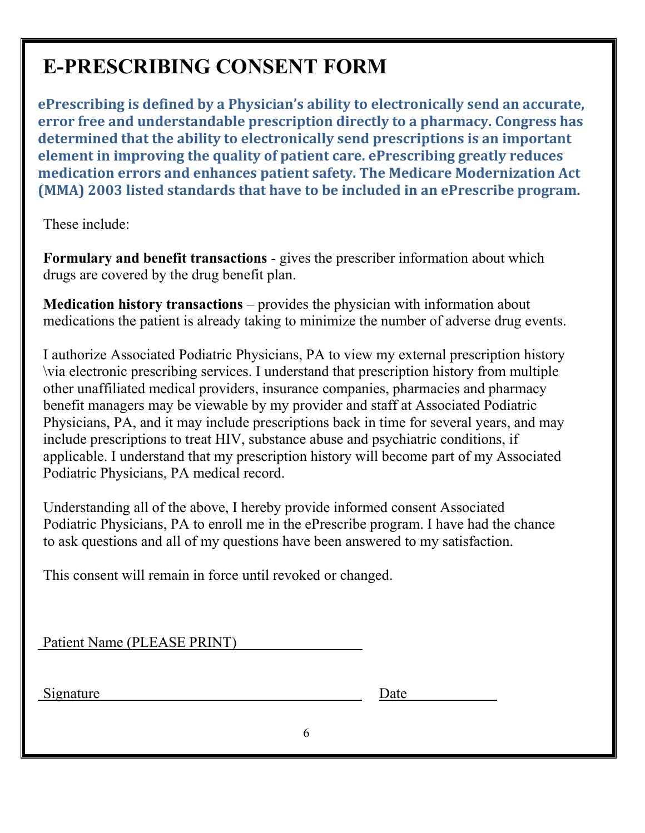# **E-PRESCRIBING CONSENT FORM**

**ePrescribing is defined by a Physician's ability to electronically send an accurate, error free and understandable prescription directly to a pharmacy. Congress has determined that the ability to electronically send prescriptions is an important element in improving the quality of patient care. ePrescribing greatly reduces medication errors and enhances patient safety. The Medicare Modernization Act (MMA) 2003 listed standards that have to be included in an ePrescribe program.**

These include:

**Formulary and benefit transactions** - gives the prescriber information about which drugs are covered by the drug benefit plan.

**Medication history transactions** – provides the physician with information about medications the patient is already taking to minimize the number of adverse drug events.

I authorize Associated Podiatric Physicians, PA to view my external prescription history \via electronic prescribing services. I understand that prescription history from multiple other unaffiliated medical providers, insurance companies, pharmacies and pharmacy benefit managers may be viewable by my provider and staff at Associated Podiatric Physicians, PA, and it may include prescriptions back in time for several years, and may include prescriptions to treat HIV, substance abuse and psychiatric conditions, if applicable. I understand that my prescription history will become part of my Associated Podiatric Physicians, PA medical record.

Understanding all of the above, I hereby provide informed consent Associated Podiatric Physicians, PA to enroll me in the ePrescribe program. I have had the chance to ask questions and all of my questions have been answered to my satisfaction.

This consent will remain in force until revoked or changed.

|--|

Signature Date of the Date of the Date of the Date of the Date of the Date of the Date of the Date of the Date of the Date of the Date of the Date of the Date of the Date of the Date of the Date of the Date of the Date of

| )ate |  |
|------|--|
|      |  |

6